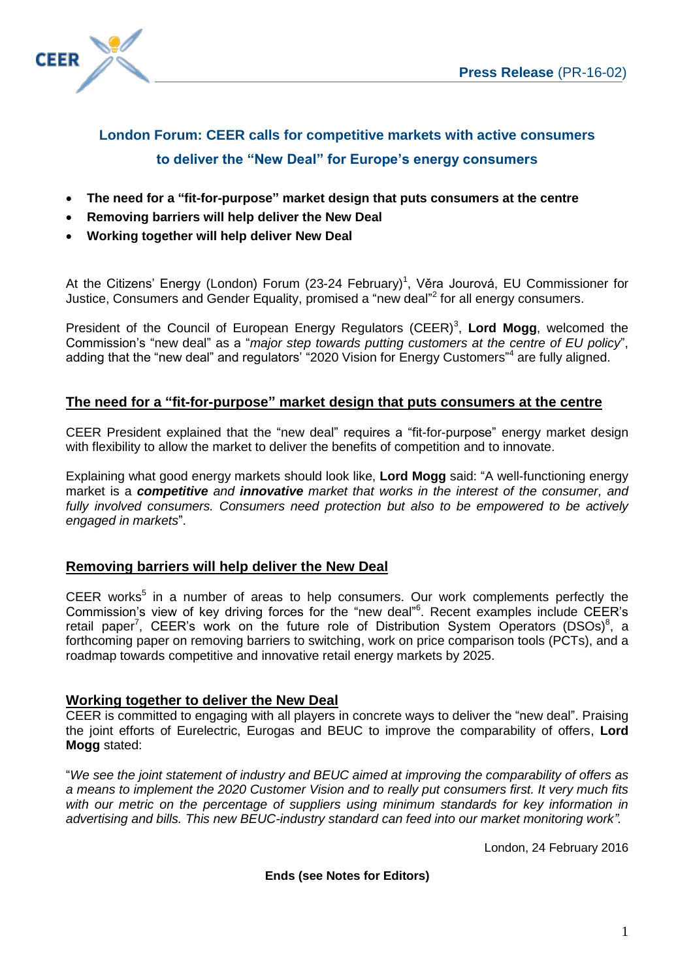

# **London Forum: CEER calls for competitive markets with active consumers to deliver the "New Deal" for Europe's energy consumers**

- **The need for a "fit-for-purpose" market design that puts consumers at the centre**
- **Removing barriers will help deliver the New Deal**
- **Working together will help deliver New Deal**

At the Citizens' Energy (London) Forum (23-24 February)<sup>1</sup>, Věra Jourová, EU Commissioner for Justice, Consumers and Gender Equality, promised a "new deal"<sup>2</sup> for all energy consumers.

President of the Council of European Energy Regulators (CEER)<sup>3</sup>, Lord Mogg, welcomed the Commission's "new deal" as a "*major step towards putting customers at the centre of EU policy*", adding that the "new deal" and regulators' "2020 Vision for Energy Customers"<sup>4</sup> are fully aligned.

## **The need for a "fit-for-purpose" market design that puts consumers at the centre**

CEER President explained that the "new deal" requires a "fit-for-purpose" energy market design with flexibility to allow the market to deliver the benefits of competition and to innovate.

Explaining what good energy markets should look like, **Lord Mogg** said: "A well-functioning energy market is a *competitive and innovative market that works in the interest of the consumer, and fully involved consumers. Consumers need protection but also to be empowered to be actively engaged in markets*".

## **Removing barriers will help deliver the New Deal**

CEER works<sup>5</sup> in a number of areas to help consumers. Our work complements perfectly the Commission's view of key driving forces for the "new deal" 6 . Recent examples include CEER's retail paper<sup>7</sup>, CEER's work on the future role of Distribution System Operators (DSOs)<sup>8</sup>, a forthcoming paper on removing barriers to switching, work on price comparison tools (PCTs), and a roadmap towards competitive and innovative retail energy markets by 2025.

## **Working together to deliver the New Deal**

CEER is committed to engaging with all players in concrete ways to deliver the "new deal". Praising the joint efforts of Eurelectric, Eurogas and BEUC to improve the comparability of offers, **Lord Mogg** stated:

"*We see the joint statement of industry and BEUC aimed at improving the comparability of offers as a means to implement the 2020 Customer Vision and to really put consumers first. It very much fits with our metric on the percentage of suppliers using minimum standards for key information in advertising and bills. This new BEUC-industry standard can feed into our market monitoring work".*

London, 24 February 2016

**Ends (see Notes for Editors)**